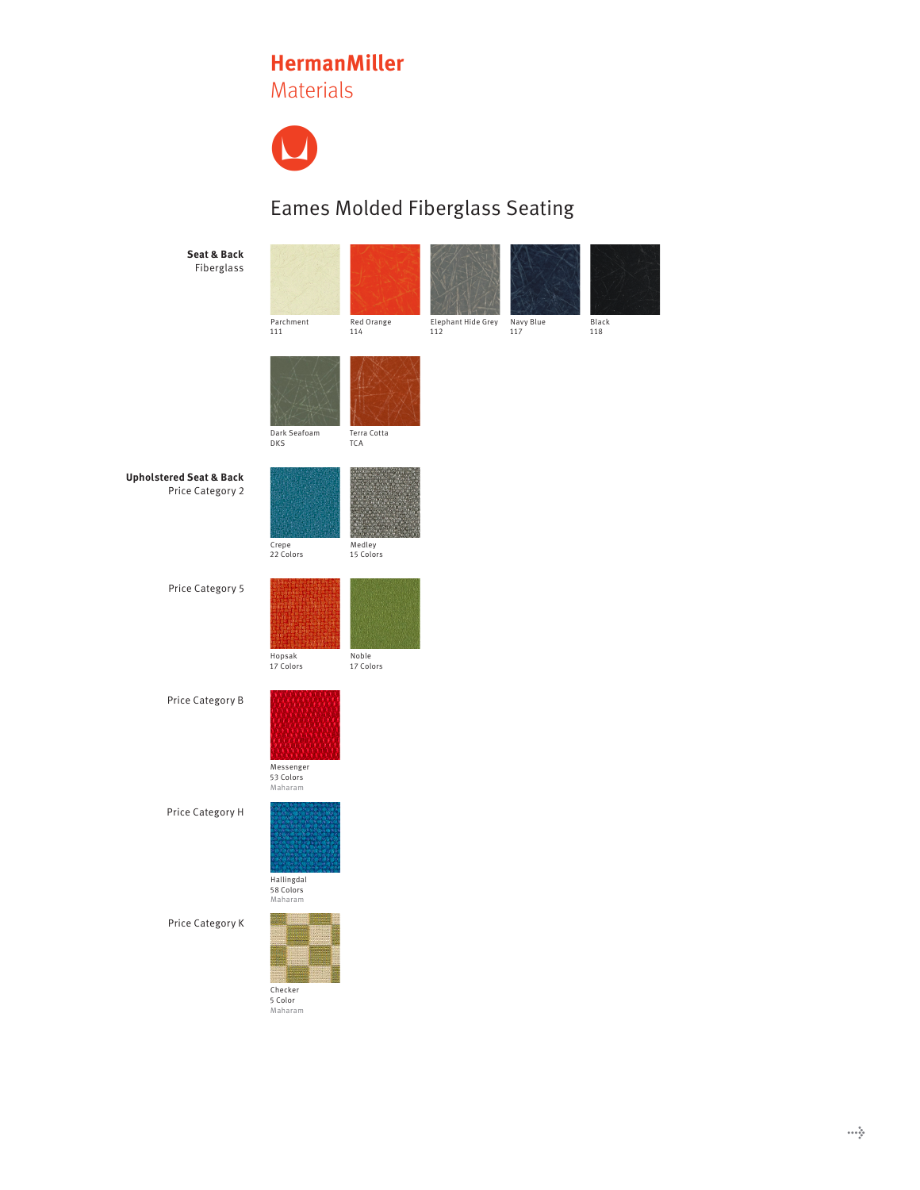## **HermanMiller**

Materials



## Eames Molded Fiberglass Seating

**Seat & Back**  Fiberglass





Navy Blue 117

Elephant Hide Grey 112





Dark Seafoam DKS

Parchment 111

Crepe 22 Colors

Hopsak 17 Colors

**Upholstered Seat & Back**  Price Category 2



Red Orange 114

Medley 15 Colors

Price Category 5



Noble 17 Colors

Price Category B





Price Category H



Price Category K

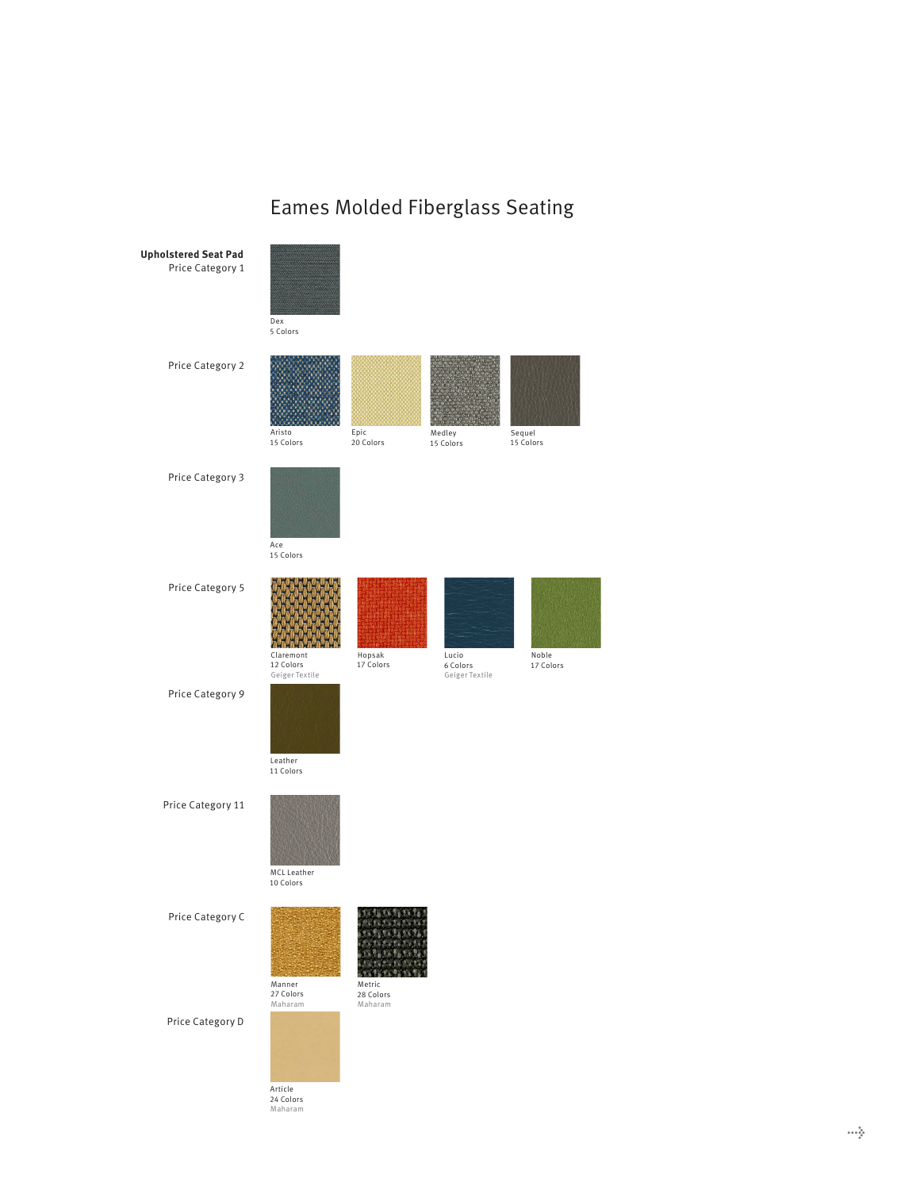## Eames Molded Fiberglass Seating